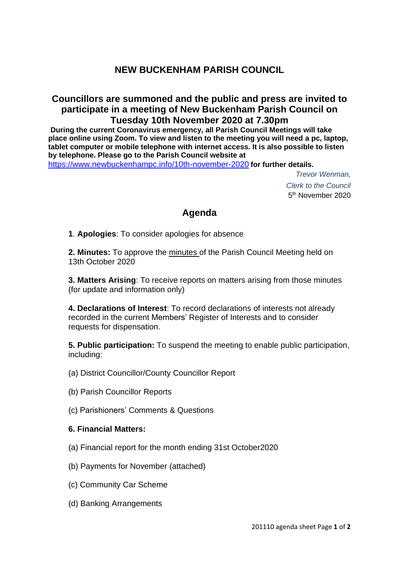# **NEW BUCKENHAM PARISH COUNCIL**

## **Councillors are summoned and the public and press are invited to participate in a meeting of New Buckenham Parish Council on Tuesday 10th November 2020 at 7.30pm**

**During the current Coronavirus emergency, all Parish Council Meetings will take place online using Zoom. To view and listen to the meeting you will need a pc, laptop, tablet computer or mobile telephone with internet access. It is also possible to listen by telephone. Please go to the Parish Council website at**

<https://www.newbuckenhampc.info/10th-november-2020> **for further details.**

*Trevor Wenman, Clerk to the Council* 5<sup>th</sup> November 2020

## **Agenda**

**1**. **Apologies**: To consider apologies for absence

**2. Minutes:** To approve the minutes of the Parish Council Meeting held on 13th October 2020

**3. Matters Arising**: To receive reports on matters arising from those minutes (for update and information only)

**4. Declarations of Interest**: To record declarations of interests not already recorded in the current Members' Register of Interests and to consider requests for dispensation.

**5. Public participation:** To suspend the meeting to enable public participation, including:

- (a) District Councillor/County Councillor Report
- (b) Parish Councillor Reports
- (c) Parishioners' Comments & Questions

#### **6. Financial Matters:**

- (a) Financial report for the month ending 31st October2020
- (b) Payments for November (attached)
- (c) Community Car Scheme
- (d) Banking Arrangements